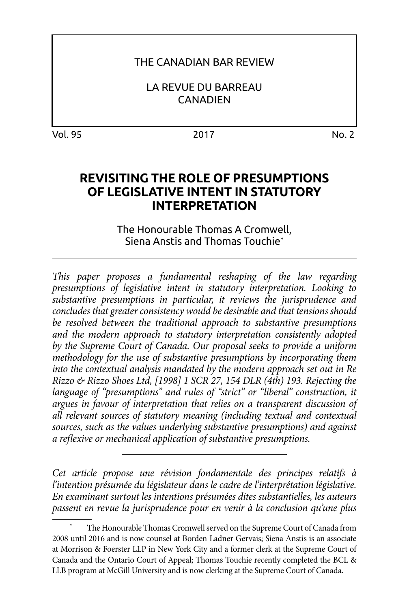### THE CANADIAN BAR REVIEW

LA REVUE DU BARREAU **CANADIEN** 

Vol. 95 2017 No. 2

# **REVISITING THE ROLE OF PRESUMPTIONS OF LEGISLATIVE INTENT IN STATUTORY INTERPRETATION**

The Honourable Thomas A Cromwell, Siena Anstis and Thomas Touchie\*

*This paper proposes a fundamental reshaping of the law regarding presumptions of legislative intent in statutory interpretation. Looking to substantive presumptions in particular, it reviews the jurisprudence and concludes that greater consistency would be desirable and that tensions should be resolved between the traditional approach to substantive presumptions and the modern approach to statutory interpretation consistently adopted by the Supreme Court of Canada. Our proposal seeks to provide a uniform methodology for the use of substantive presumptions by incorporating them into the contextual analysis mandated by the modern approach set out in Re Rizzo & Rizzo Shoes Ltd, [1998] 1 SCR 27, 154 DLR (4th) 193. Rejecting the language of "presumptions" and rules of "strict" or "liberal" construction, it argues in favour of interpretation that relies on a transparent discussion of all relevant sources of statutory meaning (including textual and contextual sources, such as the values underlying substantive presumptions) and against a reflexive or mechanical application of substantive presumptions.* 

*Cet article propose une révision fondamentale des principes relatifs à l'intention présumée du législateur dans le cadre de l'interprétation législative. En examinant surtout les intentions présumées dites substantielles, les auteurs passent en revue la jurisprudence pour en venir à la conclusion qu'une plus* 

The Honourable Thomas Cromwell served on the Supreme Court of Canada from 2008 until 2016 and is now counsel at Borden Ladner Gervais; Siena Anstis is an associate at Morrison & Foerster LLP in New York City and a former clerk at the Supreme Court of Canada and the Ontario Court of Appeal; Thomas Touchie recently completed the BCL & LLB program at McGill University and is now clerking at the Supreme Court of Canada.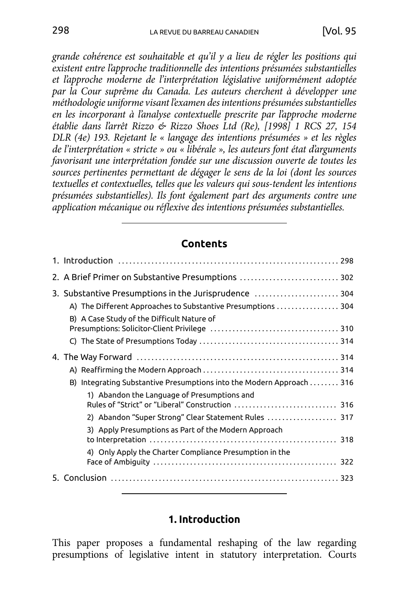*grande cohérence est souhaitable et qu'il y a lieu de régler les positions qui existent entre l'approche traditionnelle des intentions présumées substantielles et l'approche moderne de l'interprétation législative uniformément adoptée par la Cour suprême du Canada. Les auteurs cherchent à développer une méthodologie uniforme visant l'examen des intentions présumées substantielles en les incorporant à l'analyse contextuelle prescrite par l'approche moderne établie dans l'arrêt Rizzo & Rizzo Shoes Ltd (Re), [1998] 1 RCS 27, 154 DLR (4e) 193. Rejetant le « langage des intentions présumées » et les règles de l'interprétation « stricte » ou « libérale », les auteurs font état d'arguments favorisant une interprétation fondée sur une discussion ouverte de toutes les sources pertinentes permettant de dégager le sens de la loi (dont les sources textuelles et contextuelles, telles que les valeurs qui sous-tendent les intentions présumées substantielles). Ils font également part des arguments contre une application mécanique ou réflexive des intentions présumées substantielles.*

#### **Contents**

| 2. A Brief Primer on Substantive Presumptions  302                   |  |
|----------------------------------------------------------------------|--|
| 3. Substantive Presumptions in the Jurisprudence  304                |  |
| A) The Different Approaches to Substantive Presumptions  304         |  |
| B) A Case Study of the Difficult Nature of                           |  |
|                                                                      |  |
|                                                                      |  |
|                                                                      |  |
|                                                                      |  |
| B) Integrating Substantive Presumptions into the Modern Approach 316 |  |
| 1) Abandon the Language of Presumptions and                          |  |
| 2) Abandon "Super Strong" Clear Statement Rules  317                 |  |
| 3) Apply Presumptions as Part of the Modern Approach                 |  |
| 4) Only Apply the Charter Compliance Presumption in the              |  |
|                                                                      |  |

#### **1. Introduction**

This paper proposes a fundamental reshaping of the law regarding presumptions of legislative intent in statutory interpretation. Courts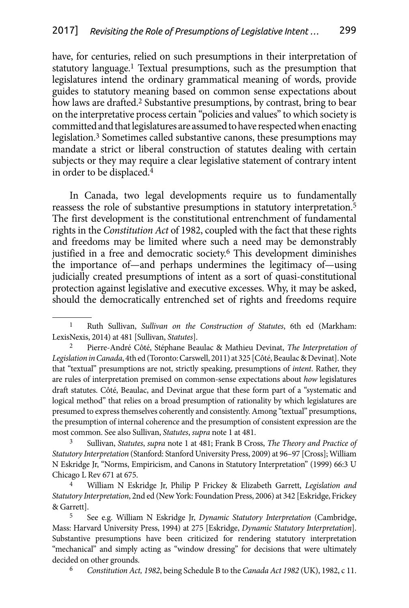have, for centuries, relied on such presumptions in their interpretation of statutory language.<sup>1</sup> Textual presumptions, such as the presumption that legislatures intend the ordinary grammatical meaning of words, provide guides to statutory meaning based on common sense expectations about how laws are drafted.<sup>2</sup> Substantive presumptions, by contrast, bring to bear on the interpretative process certain "policies and values" to which society is committed and that legislatures are assumed to have respected when enacting legislation.<sup>3</sup> Sometimes called substantive canons, these presumptions may mandate a strict or liberal construction of statutes dealing with certain subjects or they may require a clear legislative statement of contrary intent in order to be displaced.4

In Canada, two legal developments require us to fundamentally reassess the role of substantive presumptions in statutory interpretation.5 The first development is the constitutional entrenchment of fundamental rights in the *Constitution Act* of 1982, coupled with the fact that these rights and freedoms may be limited where such a need may be demonstrably justified in a free and democratic society.<sup>6</sup> This development diminishes the importance of—and perhaps undermines the legitimacy of—using judicially created presumptions of intent as a sort of quasi-constitutional protection against legislative and executive excesses. Why, it may be asked, should the democratically entrenched set of rights and freedoms require

6 *Constitution Act, 1982*, being Schedule B to the *Canada Act 1982* (UK), 1982, c 11.

<sup>1</sup> Ruth Sullivan, *Sullivan on the Construction of Statutes*, 6th ed (Markham: LexisNexis, 2014) at 481 [Sullivan, *Statutes*].

<sup>2</sup> Pierre-André Côté, Stéphane Beaulac & Mathieu Devinat, *The Interpretation of Legislation in Canada*, 4th ed (Toronto: Carswell, 2011) at 325 [Côté, Beaulac & Devinat]. Note that "textual" presumptions are not, strictly speaking, presumptions of *intent*. Rather, they are rules of interpretation premised on common-sense expectations about *how* legislatures draft statutes. Côté, Beaulac, and Devinat argue that these form part of a "systematic and logical method" that relies on a broad presumption of rationality by which legislatures are presumed to express themselves coherently and consistently. Among "textual" presumptions, the presumption of internal coherence and the presumption of consistent expression are the most common. See also Sullivan, *Statutes*, *supra* note 1 at 481.

<sup>3</sup> Sullivan, *Statutes*, *supra* note 1 at 481; Frank B Cross, *The Theory and Practice of Statutory Interpretation* (Stanford: Stanford University Press, 2009) at 96–97 [Cross]; William N Eskridge Jr, "Norms, Empiricism, and Canons in Statutory Interpretation" (1999) 66:3 U Chicago L Rev 671 at 675.

<sup>4</sup> William N Eskridge Jr, Philip P Frickey & Elizabeth Garrett, *Legislation and Statutory Interpretation*, 2nd ed (New York: Foundation Press, 2006) at 342 [Eskridge, Frickey & Garrett].

<sup>5</sup> See e.g. William N Eskridge Jr, *Dynamic Statutory Interpretation* (Cambridge, Mass: Harvard University Press, 1994) at 275 [Eskridge, *Dynamic Statutory Interpretation*]. Substantive presumptions have been criticized for rendering statutory interpretation "mechanical" and simply acting as "window dressing" for decisions that were ultimately decided on other grounds.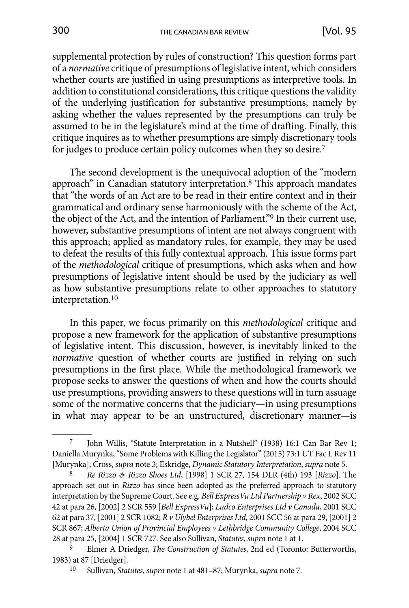supplemental protection by rules of construction? This question forms part of a *normative* critique of presumptions of legislative intent, which considers whether courts are justified in using presumptions as interpretive tools. In addition to constitutional considerations, this critique questions the validity of the underlying justification for substantive presumptions, namely by asking whether the values represented by the presumptions can truly be assumed to be in the legislature's mind at the time of drafting. Finally, this critique inquires as to whether presumptions are simply discretionary tools for judges to produce certain policy outcomes when they so desire.7

The second development is the unequivocal adoption of the "modern approach" in Canadian statutory interpretation.8 This approach mandates that "the words of an Act are to be read in their entire context and in their grammatical and ordinary sense harmoniously with the scheme of the Act, the object of the Act, and the intention of Parliament."9 In their current use, however, substantive presumptions of intent are not always congruent with this approach; applied as mandatory rules, for example, they may be used to defeat the results of this fully contextual approach. This issue forms part of the *methodological* critique of presumptions, which asks when and how presumptions of legislative intent should be used by the judiciary as well as how substantive presumptions relate to other approaches to statutory interpretation.10

In this paper, we focus primarily on this *methodological* critique and propose a new framework for the application of substantive presumptions of legislative intent. This discussion, however, is inevitably linked to the *normative* question of whether courts are justified in relying on such presumptions in the first place. While the methodological framework we propose seeks to answer the questions of when and how the courts should use presumptions, providing answers to these questions will in turn assuage some of the normative concerns that the judiciary—in using presumptions in what may appear to be an unstructured, discretionary manner—is

<sup>7</sup> John Willis, "Statute Interpretation in a Nutshell" (1938) 16:1 Can Bar Rev 1; Daniella Murynka, "Some Problems with Killing the Legislator" (2015) 73:1 UT Fac L Rev 11 [Murynka]; Cross, *supra* note 3; Eskridge, *Dynamic Statutory Interpretation*, *supra* note 5.

<sup>8</sup> *Re Rizzo & Rizzo Shoes Ltd*, [1998] 1 SCR 27, 154 DLR (4th) 193 [*Rizzo*]. The approach set out in *Rizzo* has since been adopted as the preferred approach to statutory interpretation by the Supreme Court. See e.g. *Bell ExpressVu Ltd Partnership v Rex*, 2002 SCC 42 at para 26, [2002] 2 SCR 559 [*Bell ExpressVu*]; *Ludco Enterprises Ltd v Canada*, 2001 SCC 62 at para 37, [2001] 2 SCR 1082; *R v Ulybel Enterprises Ltd*, 2001 SCC 56 at para 29, [2001] 2 SCR 867; *Alberta Union of Provincial Employees v Lethbridge Community College*, 2004 SCC 28 at para 25, [2004] 1 SCR 727. See also Sullivan, *Statutes*, *supra* note 1 at 1.

<sup>9</sup> Elmer A Driedger, *The Construction of Statutes*, 2nd ed (Toronto: Butterworths, 1983) at 87 [Driedger].

<sup>10</sup> Sullivan, *Statutes*, *supra* note 1 at 481–87; Murynka, *supra* note 7.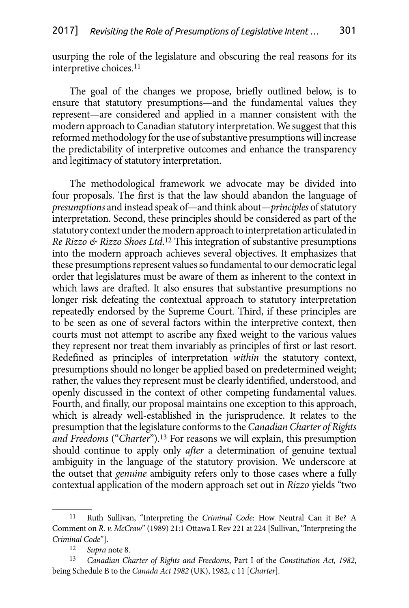usurping the role of the legislature and obscuring the real reasons for its interpretive choices.11

The goal of the changes we propose, briefly outlined below, is to ensure that statutory presumptions—and the fundamental values they represent—are considered and applied in a manner consistent with the modern approach to Canadian statutory interpretation. We suggest that this reformed methodology for the use of substantive presumptions will increase the predictability of interpretive outcomes and enhance the transparency and legitimacy of statutory interpretation.

The methodological framework we advocate may be divided into four proposals. The first is that the law should abandon the language of *presumptions* and instead speak of—and think about—*principles* of statutory interpretation. Second, these principles should be considered as part of the statutory context under the modern approach to interpretation articulated in *Re Rizzo & Rizzo Shoes Ltd*. 12 This integration of substantive presumptions into the modern approach achieves several objectives. It emphasizes that these presumptions represent values so fundamental to our democratic legal order that legislatures must be aware of them as inherent to the context in which laws are drafted. It also ensures that substantive presumptions no longer risk defeating the contextual approach to statutory interpretation repeatedly endorsed by the Supreme Court. Third, if these principles are to be seen as one of several factors within the interpretive context, then courts must not attempt to ascribe any fixed weight to the various values they represent nor treat them invariably as principles of first or last resort. Redefined as principles of interpretation *within* the statutory context, presumptions should no longer be applied based on predetermined weight; rather, the values they represent must be clearly identified, understood, and openly discussed in the context of other competing fundamental values. Fourth, and finally, our proposal maintains one exception to this approach, which is already well-established in the jurisprudence. It relates to the presumption that the legislature conforms to the *Canadian Charter of Rights and Freedoms* ("*Charter*").13 For reasons we will explain, this presumption should continue to apply only *after* a determination of genuine textual ambiguity in the language of the statutory provision. We underscore at the outset that *genuine* ambiguity refers only to those cases where a fully contextual application of the modern approach set out in *Rizzo* yields "two

<sup>11</sup> Ruth Sullivan, "Interpreting the *Criminal Code*: How Neutral Can it Be? A Comment on *R. v. McCraw*" (1989) 21:1 Ottawa L Rev 221 at 224 [Sullivan, "Interpreting the *Criminal Code*"].

<sup>12</sup> *Supra* note 8.

<sup>13</sup> *Canadian Charter of Rights and Freedoms*, Part I of the *Constitution Act, 1982*, being Schedule B to the *Canada Act 1982* (UK), 1982, c 11 [*Charter*].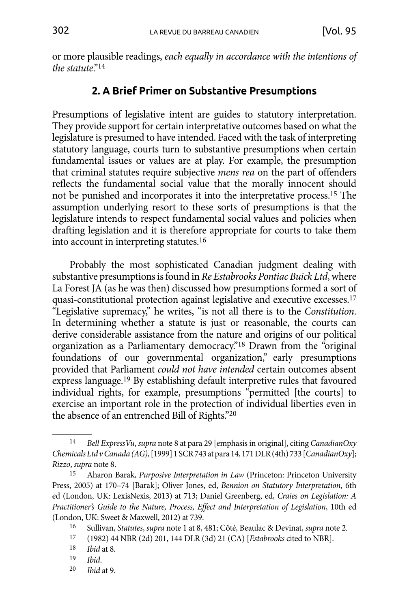<span id="page-5-0"></span>or more plausible readings, *each equally in accordance with the intentions of the statute*."14

## **2. A Brief Primer on Substantive Presumptions**

Presumptions of legislative intent are guides to statutory interpretation. They provide support for certain interpretative outcomes based on what the legislature is presumed to have intended. Faced with the task of interpreting statutory language, courts turn to substantive presumptions when certain fundamental issues or values are at play. For example, the presumption that criminal statutes require subjective *mens rea* on the part of offenders reflects the fundamental social value that the morally innocent should not be punished and incorporates it into the interpretative process.15 The assumption underlying resort to these sorts of presumptions is that the legislature intends to respect fundamental social values and policies when drafting legislation and it is therefore appropriate for courts to take them into account in interpreting statutes.16

Probably the most sophisticated Canadian judgment dealing with substantive presumptions is found in *Re Estabrooks Pontiac Buick Ltd*, where La Forest JA (as he was then) discussed how presumptions formed a sort of quasi-constitutional protection against legislative and executive excesses.17 "Legislative supremacy," he writes, "is not all there is to the *Constitution*. In determining whether a statute is just or reasonable, the courts can derive considerable assistance from the nature and origins of our political organization as a Parliamentary democracy."<sup>18</sup> Drawn from the "original foundations of our governmental organization," early presumptions provided that Parliament *could not have intended* certain outcomes absent express language.19 By establishing default interpretive rules that favoured individual rights, for example, presumptions "permitted [the courts] to exercise an important role in the protection of individual liberties even in the absence of an entrenched Bill of Rights."20

<sup>14</sup> *Bell ExpressVu*, *supra* note 8 at para 29 [emphasis in original], citing *CanadianOxy Chemicals Ltd v Canada (AG)*, [1999] 1 SCR 743 at para 14, 171 DLR (4th) 733 [*CanadianOxy*]; *Rizzo*, *supra* note 8.

<sup>15</sup> Aharon Barak, *Purposive Interpretation in Law* (Princeton: Princeton University Press, 2005) at 170–74 [Barak]; Oliver Jones, ed, *Bennion on Statutory Interpretation*, 6th ed (London, UK: LexisNexis, 2013) at 713; Daniel Greenberg, ed, *Craies on Legislation: A Practitioner's Guide to the Nature, Process, Effect and Interpretation of Legislation*, 10th ed (London, UK: Sweet & Maxwell, 2012) at 739.

<sup>16</sup> Sullivan, *Statutes*, *supra* note 1 at 8, 481; Côté, Beaulac & Devinat, *supra* note 2.

<sup>17</sup> (1982) 44 NBR (2d) 201, 144 DLR (3d) 21 (CA) [*Estabrooks* cited to NBR].

*Ibid* at 8.

<sup>19</sup> *Ibid*.

<sup>20</sup> *Ibid* at 9.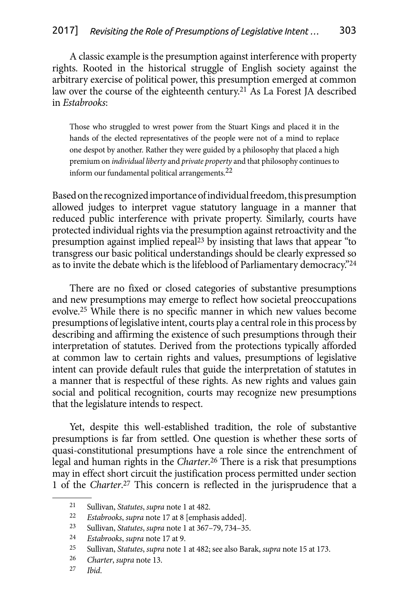A classic example is the presumption against interference with property rights. Rooted in the historical struggle of English society against the arbitrary exercise of political power, this presumption emerged at common law over the course of the eighteenth century.21 As La Forest JA described in *Estabrooks*:

Those who struggled to wrest power from the Stuart Kings and placed it in the hands of the elected representatives of the people were not of a mind to replace one despot by another. Rather they were guided by a philosophy that placed a high premium on *individual liberty* and *private property* and that philosophy continues to inform our fundamental political arrangements.<sup>22</sup>

Based on the recognized importance of individual freedom, this presumption allowed judges to interpret vague statutory language in a manner that reduced public interference with private property. Similarly, courts have protected individual rights via the presumption against retroactivity and the presumption against implied repeal<sup>23</sup> by insisting that laws that appear "to transgress our basic political understandings should be clearly expressed so as to invite the debate which is the lifeblood of Parliamentary democracy."24

There are no fixed or closed categories of substantive presumptions and new presumptions may emerge to reflect how societal preoccupations evolve.25 While there is no specific manner in which new values become presumptions of legislative intent, courts play a central role in this process by describing and affirming the existence of such presumptions through their interpretation of statutes. Derived from the protections typically afforded at common law to certain rights and values, presumptions of legislative intent can provide default rules that guide the interpretation of statutes in a manner that is respectful of these rights. As new rights and values gain social and political recognition, courts may recognize new presumptions that the legislature intends to respect.

Yet, despite this well-established tradition, the role of substantive presumptions is far from settled. One question is whether these sorts of quasi-constitutional presumptions have a role since the entrenchment of legal and human rights in the *Charter*. 26 There is a risk that presumptions may in effect short circuit the justification process permitted under section 1 of the *Charter*. 27 This concern is reflected in the jurisprudence that a

<sup>21</sup> Sullivan, *Statutes*, *supra* note 1 at 482.

<sup>22</sup> *Estabrooks*, *supra* note 17 at 8 [emphasis added].

<sup>23</sup> Sullivan, *Statutes*, *supra* note 1 at 367–79, 734–35.

<sup>24</sup> *Estabrooks*, *supra* note 17 at 9.

<sup>25</sup> Sullivan, *Statutes*, *supra* note 1 at 482; see also Barak, *supra* note 15 at 173.

<sup>26</sup> *Charter*, *supra* note 13.

<sup>27</sup> *Ibid*.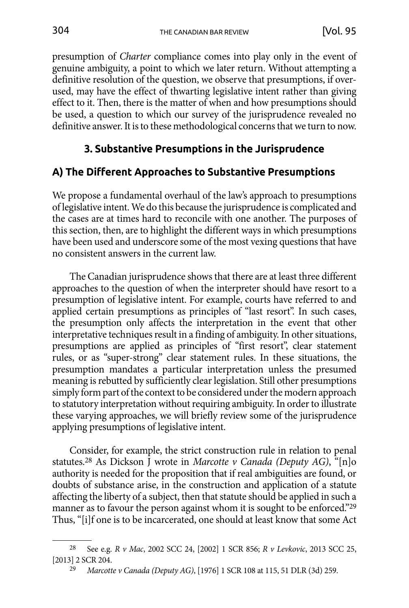<span id="page-7-0"></span>presumption of *Charter* compliance comes into play only in the event of genuine ambiguity, a point to which we later return. Without attempting a definitive resolution of the question, we observe that presumptions, if overused, may have the effect of thwarting legislative intent rather than giving effect to it. Then, there is the matter of when and how presumptions should be used, a question to which our survey of the jurisprudence revealed no definitive answer. It is to these methodological concerns that we turn to now.

## **3. Substantive Presumptions in the Jurisprudence**

## **A) The Different Approaches to Substantive Presumptions**

We propose a fundamental overhaul of the law's approach to presumptions of legislative intent. We do this because the jurisprudence is complicated and the cases are at times hard to reconcile with one another. The purposes of this section, then, are to highlight the different ways in which presumptions have been used and underscore some of the most vexing questions that have no consistent answers in the current law.

The Canadian jurisprudence shows that there are at least three different approaches to the question of when the interpreter should have resort to a presumption of legislative intent. For example, courts have referred to and applied certain presumptions as principles of "last resort". In such cases, the presumption only affects the interpretation in the event that other interpretative techniques result in a finding of ambiguity. In other situations, presumptions are applied as principles of "first resort", clear statement rules, or as "super-strong" clear statement rules. In these situations, the presumption mandates a particular interpretation unless the presumed meaning is rebutted by sufficiently clear legislation. Still other presumptions simply form part of the context to be considered under the modern approach to statutory interpretation without requiring ambiguity. In order to illustrate these varying approaches, we will briefly review some of the jurisprudence applying presumptions of legislative intent.

Consider, for example, the strict construction rule in relation to penal statutes.28 As Dickson J wrote in *Marcotte v Canada (Deputy AG)*, "[n]o authority is needed for the proposition that if real ambiguities are found, or doubts of substance arise, in the construction and application of a statute affecting the liberty of a subject, then that statute should be applied in such a manner as to favour the person against whom it is sought to be enforced."<sup>29</sup> Thus, "[i]f one is to be incarcerated, one should at least know that some Act

<sup>28</sup> See e.g. *R v Mac*, 2002 SCC 24, [2002] 1 SCR 856; *R v Levkovic*, 2013 SCC 25, [2013] 2 SCR 204.

<sup>29</sup> *Marcotte v Canada (Deputy AG)*, [1976] 1 SCR 108 at 115, 51 DLR (3d) 259.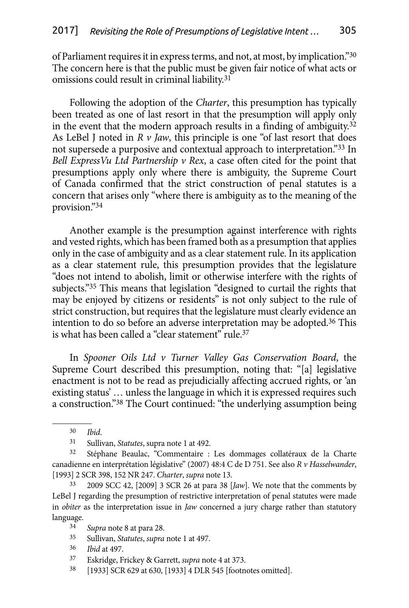of Parliament requires it in express terms, and not, at most, by implication."30 The concern here is that the public must be given fair notice of what acts or omissions could result in criminal liability.31

Following the adoption of the *Charter*, this presumption has typically been treated as one of last resort in that the presumption will apply only in the event that the modern approach results in a finding of ambiguity.32 As LeBel J noted in *R v Jaw*, this principle is one "of last resort that does not supersede a purposive and contextual approach to interpretation."33 In *Bell ExpressVu Ltd Partnership v Rex*, a case often cited for the point that presumptions apply only where there is ambiguity, the Supreme Court of Canada confirmed that the strict construction of penal statutes is a concern that arises only "where there is ambiguity as to the meaning of the provision."34

Another example is the presumption against interference with rights and vested rights, which has been framed both as a presumption that applies only in the case of ambiguity and as a clear statement rule. In its application as a clear statement rule, this presumption provides that the legislature "does not intend to abolish, limit or otherwise interfere with the rights of subjects."35 This means that legislation "designed to curtail the rights that may be enjoyed by citizens or residents" is not only subject to the rule of strict construction, but requires that the legislature must clearly evidence an intention to do so before an adverse interpretation may be adopted.36 This is what has been called a "clear statement" rule.37

In *Spooner Oils Ltd v Turner Valley Gas Conservation Board*, the Supreme Court described this presumption, noting that: "[a] legislative enactment is not to be read as prejudicially affecting accrued rights, or 'an existing status' … unless the language in which it is expressed requires such a construction."38 The Court continued: "the underlying assumption being

- 35 Sullivan, *Statutes*, *supra* note 1 at 497.
- 36 *Ibid* at 497.
- 37 Eskridge, Frickey & Garrett, *supra* note 4 at 373.
- 38 [1933] SCR 629 at 630, [1933] 4 DLR 545 [footnotes omitted].

<sup>30</sup> *Ibid*.

<sup>31</sup> Sullivan, *Statutes*, supra note 1 at 492.

<sup>32</sup> Stéphane Beaulac, "Commentaire : Les dommages collatéraux de la Charte canadienne en interprétation législative" (2007) 48:4 C de D 751. See also *R v Hasselwander*, [1993] 2 SCR 398, 152 NR 247. *Charter*, *supra* note 13.

<sup>33</sup> 2009 SCC 42, [2009] 3 SCR 26 at para 38 [*Jaw*]. We note that the comments by LeBel J regarding the presumption of restrictive interpretation of penal statutes were made in *obiter* as the interpretation issue in *Jaw* concerned a jury charge rather than statutory language.

<sup>34</sup> *Supra* note 8 at para 28.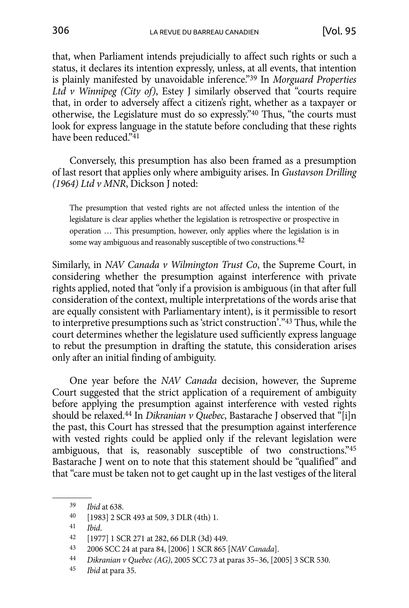that, when Parliament intends prejudicially to affect such rights or such a status, it declares its intention expressly, unless, at all events, that intention is plainly manifested by unavoidable inference."39 In *Morguard Properties Ltd v Winnipeg (City of)*, Estey J similarly observed that "courts require that, in order to adversely affect a citizen's right, whether as a taxpayer or otherwise, the Legislature must do so expressly."40 Thus, "the courts must look for express language in the statute before concluding that these rights have been reduced."41

Conversely, this presumption has also been framed as a presumption of last resort that applies only where ambiguity arises. In *Gustavson Drilling (1964) Ltd v MNR*, Dickson J noted:

The presumption that vested rights are not affected unless the intention of the legislature is clear applies whether the legislation is retrospective or prospective in operation … This presumption, however, only applies where the legislation is in some way ambiguous and reasonably susceptible of two constructions.<sup>42</sup>

Similarly, in *NAV Canada v Wilmington Trust Co*, the Supreme Court, in considering whether the presumption against interference with private rights applied, noted that "only if a provision is ambiguous (in that after full consideration of the context, multiple interpretations of the words arise that are equally consistent with Parliamentary intent), is it permissible to resort to interpretive presumptions such as 'strict construction'."43 Thus, while the court determines whether the legislature used sufficiently express language to rebut the presumption in drafting the statute, this consideration arises only after an initial finding of ambiguity.

One year before the *NAV Canada* decision, however, the Supreme Court suggested that the strict application of a requirement of ambiguity before applying the presumption against interference with vested rights should be relaxed.44 In *Dikranian v Quebec*, Bastarache J observed that "[i]n the past, this Court has stressed that the presumption against interference with vested rights could be applied only if the relevant legislation were ambiguous, that is, reasonably susceptible of two constructions."45 Bastarache J went on to note that this statement should be "qualified" and that "care must be taken not to get caught up in the last vestiges of the literal

- 43 2006 SCC 24 at para 84, [2006] 1 SCR 865 [*NAV Canada*].
- 44 *Dikranian v Quebec (AG)*, 2005 SCC 73 at paras 35–36, [2005] 3 SCR 530.
- 45 *Ibid* at para 35.

<sup>39</sup> *Ibid* at 638.

<sup>40</sup> [1983] 2 SCR 493 at 509, 3 DLR (4th) 1.

<sup>41</sup> *Ibid*.

<sup>42</sup> [1977] 1 SCR 271 at 282, 66 DLR (3d) 449.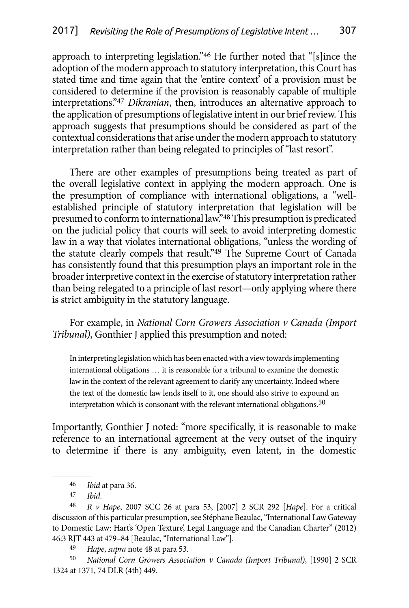approach to interpreting legislation."46 He further noted that "[s]ince the adoption of the modern approach to statutory interpretation, this Court has stated time and time again that the 'entire context' of a provision must be considered to determine if the provision is reasonably capable of multiple interpretations."47 *Dikranian*, then, introduces an alternative approach to the application of presumptions of legislative intent in our brief review. This approach suggests that presumptions should be considered as part of the contextual considerations that arise under the modern approach to statutory interpretation rather than being relegated to principles of "last resort''.

There are other examples of presumptions being treated as part of the overall legislative context in applying the modern approach. One is the presumption of compliance with international obligations, a "wellestablished principle of statutory interpretation that legislation will be presumed to conform to international law."48 This presumption is predicated on the judicial policy that courts will seek to avoid interpreting domestic law in a way that violates international obligations, "unless the wording of the statute clearly compels that result."<sup>49</sup> The Supreme Court of Canada has consistently found that this presumption plays an important role in the broader interpretive context in the exercise of statutory interpretation rather than being relegated to a principle of last resort—only applying where there is strict ambiguity in the statutory language.

For example, in *National Corn Growers Association v Canada (Import Tribunal)*, Gonthier J applied this presumption and noted:

In interpreting legislation which has been enacted with a view towards implementing international obligations … it is reasonable for a tribunal to examine the domestic law in the context of the relevant agreement to clarify any uncertainty. Indeed where the text of the domestic law lends itself to it, one should also strive to expound an interpretation which is consonant with the relevant international obligations.<sup>50</sup>

Importantly, Gonthier J noted: "more specifically, it is reasonable to make reference to an international agreement at the very outset of the inquiry to determine if there is any ambiguity, even latent, in the domestic

<sup>46</sup> *Ibid* at para 36.

<sup>47</sup> *Ibid*.

<sup>48</sup> *R v Hape*, 2007 SCC 26 at para 53, [2007] 2 SCR 292 [*Hape*]. For a critical discussion of this particular presumption, see Stéphane Beaulac, "International Law Gateway to Domestic Law: Hart's 'Open Texture', Legal Language and the Canadian Charter" (2012) 46:3 RJT 443 at 479–84 [Beaulac, "International Law"].

<sup>49</sup> *Hape*, *supra* note 48 at para 53.

<sup>50</sup> *National Corn Growers Association v Canada (Import Tribunal)*, [1990] 2 SCR 1324 at 1371, 74 DLR (4th) 449.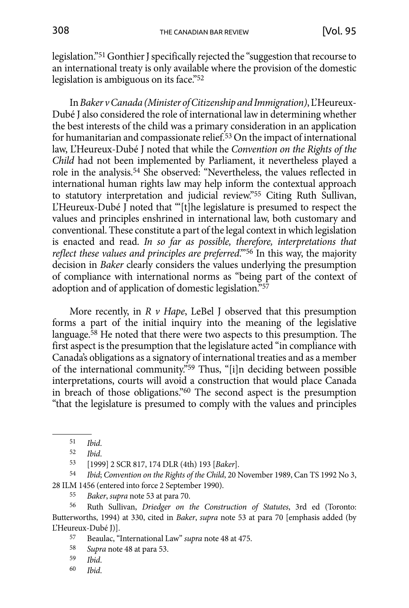legislation."51 Gonthier J specifically rejected the "suggestion that recourse to an international treaty is only available where the provision of the domestic legislation is ambiguous on its face."<sup>52</sup>

In *Baker v Canada (Minister of Citizenship and Immigration)*, L'Heureux-Dubé J also considered the role of international law in determining whether the best interests of the child was a primary consideration in an application for humanitarian and compassionate relief.<sup>53</sup> On the impact of international law, L'Heureux-Dubé J noted that while the *Convention on the Rights of the Child* had not been implemented by Parliament, it nevertheless played a role in the analysis.54 She observed: "Nevertheless, the values reflected in international human rights law may help inform the contextual approach to statutory interpretation and judicial review."55 Citing Ruth Sullivan, L'Heureux-Dubé J noted that "'[t]he legislature is presumed to respect the values and principles enshrined in international law, both customary and conventional. These constitute a part of the legal context in which legislation is enacted and read. *In so far as possible, therefore, interpretations that reflect these values and principles are preferred*.'"56 In this way, the majority decision in *Baker* clearly considers the values underlying the presumption of compliance with international norms as "being part of the context of adoption and of application of domestic legislation."57

More recently, in *R v Hape*, LeBel J observed that this presumption forms a part of the initial inquiry into the meaning of the legislative language.58 He noted that there were two aspects to this presumption. The first aspect is the presumption that the legislature acted "in compliance with Canada's obligations as a signatory of international treaties and as a member of the international community."<sup>59</sup> Thus, "[i]n deciding between possible interpretations, courts will avoid a construction that would place Canada in breach of those obligations."60 The second aspect is the presumption "that the legislature is presumed to comply with the values and principles

53 [1999] 2 SCR 817, 174 DLR (4th) 193 [*Baker*].

54 *Ibid*; *Convention on the Rights of the Child*, 20 November 1989, Can TS 1992 No 3, 28 ILM 1456 (entered into force 2 September 1990).

55 *Baker*, *supra* note 53 at para 70.

56 Ruth Sullivan, *Driedger on the Construction of Statutes*, 3rd ed (Toronto: Butterworths, 1994) at 330, cited in *Baker*, *supra* note 53 at para 70 [emphasis added (by L'Heureux-Dubé J)].

57 Beaulac, "International Law" *supra* note 48 at 475.

58 *Supra* note 48 at para 53.

59 *Ibid*.

60 *Ibid*.

<sup>51</sup> *Ibid*.

<sup>52</sup> *Ibid*.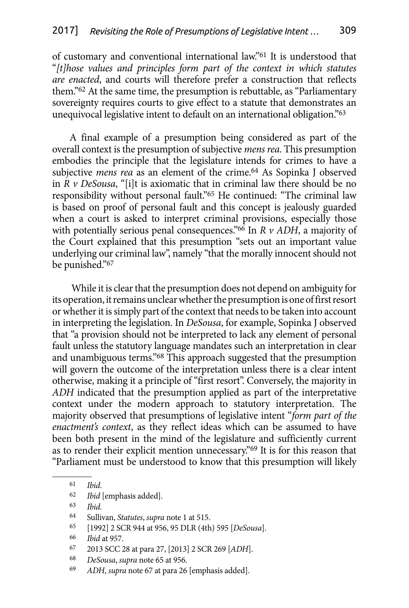of customary and conventional international law."61 It is understood that "*[t]hose values and principles form part of the context in which statutes are enacted*, and courts will therefore prefer a construction that reflects them."62 At the same time, the presumption is rebuttable, as "Parliamentary sovereignty requires courts to give effect to a statute that demonstrates an unequivocal legislative intent to default on an international obligation."63

A final example of a presumption being considered as part of the overall context is the presumption of subjective *mens rea*. This presumption embodies the principle that the legislature intends for crimes to have a subjective *mens rea* as an element of the crime.<sup>64</sup> As Sopinka J observed in  $R \nu$  *DeSousa*, "[i]t is axiomatic that in criminal law there should be no responsibility without personal fault."65 He continued: "The criminal law is based on proof of personal fault and this concept is jealously guarded when a court is asked to interpret criminal provisions, especially those with potentially serious penal consequences."66 In *R v ADH*, a majority of the Court explained that this presumption "sets out an important value underlying our criminal law", namely "that the morally innocent should not be punished."67

 While it is clear that the presumption does not depend on ambiguity for its operation, it remains unclear whether the presumption is one of first resort or whether it is simply part of the context that needs to be taken into account in interpreting the legislation. In *DeSousa*, for example, Sopinka J observed that "a provision should not be interpreted to lack any element of personal fault unless the statutory language mandates such an interpretation in clear and unambiguous terms."68 This approach suggested that the presumption will govern the outcome of the interpretation unless there is a clear intent otherwise, making it a principle of "first resort". Conversely, the majority in *ADH* indicated that the presumption applied as part of the interpretative context under the modern approach to statutory interpretation. The majority observed that presumptions of legislative intent "*form part of the enactment's context*, as they reflect ideas which can be assumed to have been both present in the mind of the legislature and sufficiently current as to render their explicit mention unnecessary."69 It is for this reason that "Parliament must be understood to know that this presumption will likely

Ibid.

65 [1992] 2 SCR 944 at 956, 95 DLR (4th) 595 [*DeSousa*].

- 67 2013 SCC 28 at para 27, [2013] 2 SCR 269 [*ADH*].
- 68 *DeSousa*, *supra* note 65 at 956.
- 69 *ADH*, *supra* note 67 at para 26 [emphasis added].

<sup>61</sup> *Ibid*.

<sup>62</sup> *Ibid* [emphasis added].

<sup>64</sup> Sullivan, *Statutes*, *supra* note 1 at 515.

<sup>66</sup> *Ibid* at 957.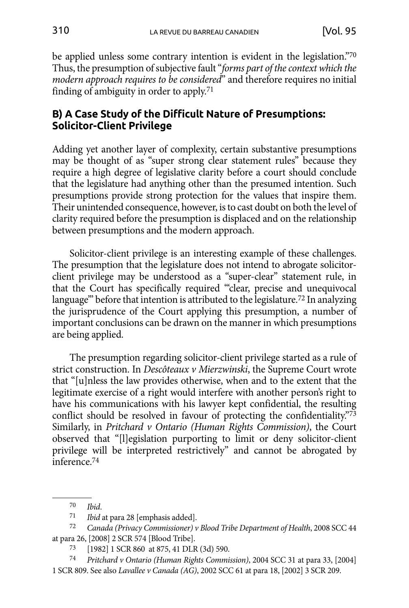<span id="page-13-0"></span>be applied unless some contrary intention is evident in the legislation."70 Thus, the presumption of subjective fault "*forms part of the context which the modern approach requires to be considered*" and therefore requires no initial finding of ambiguity in order to apply.71

## **B) A Case Study of the Difficult Nature of Presumptions: Solicitor-Client Privilege**

Adding yet another layer of complexity, certain substantive presumptions may be thought of as "super strong clear statement rules" because they require a high degree of legislative clarity before a court should conclude that the legislature had anything other than the presumed intention. Such presumptions provide strong protection for the values that inspire them. Their unintended consequence, however, is to cast doubt on both the level of clarity required before the presumption is displaced and on the relationship between presumptions and the modern approach.

Solicitor-client privilege is an interesting example of these challenges. The presumption that the legislature does not intend to abrogate solicitorclient privilege may be understood as a "super-clear" statement rule, in that the Court has specifically required "'clear, precise and unequivocal language'" before that intention is attributed to the legislature.72 In analyzing the jurisprudence of the Court applying this presumption, a number of important conclusions can be drawn on the manner in which presumptions are being applied.

The presumption regarding solicitor-client privilege started as a rule of strict construction. In *Descôteaux v Mierzwinski*, the Supreme Court wrote that "[u]nless the law provides otherwise, when and to the extent that the legitimate exercise of a right would interfere with another person's right to have his communications with his lawyer kept confidential, the resulting conflict should be resolved in favour of protecting the confidentiality."73 Similarly, in *Pritchard v Ontario (Human Rights Commission)*, the Court observed that "[l]egislation purporting to limit or deny solicitor-client privilege will be interpreted restrictively" and cannot be abrogated by inference.74

<sup>70</sup> *Ibid*.

<sup>71</sup> *Ibid* at para 28 [emphasis added].

<sup>72</sup> *Canada (Privacy Commissioner) v Blood Tribe Department of Health*, 2008 SCC 44 at para 26, [2008] 2 SCR 574 [Blood Tribe].

<sup>73</sup> [1982] 1 SCR 860 at 875, 41 DLR (3d) 590.

<sup>74</sup> *Pritchard v Ontario (Human Rights Commission)*, 2004 SCC 31 at para 33, [2004] 1 SCR 809. See also *Lavallee v Canada (AG)*, 2002 SCC 61 at para 18, [2002] 3 SCR 209.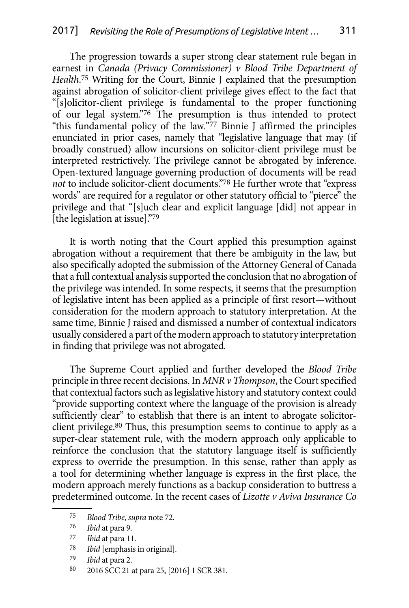The progression towards a super strong clear statement rule began in earnest in *Canada (Privacy Commissioner) v Blood Tribe Department of Health*. 75 Writing for the Court, Binnie J explained that the presumption against abrogation of solicitor-client privilege gives effect to the fact that "[s]olicitor-client privilege is fundamental to the proper functioning of our legal system."76 The presumption is thus intended to protect "this fundamental policy of the law."77 Binnie J affirmed the principles enunciated in prior cases, namely that "legislative language that may (if broadly construed) allow incursions on solicitor-client privilege must be interpreted restrictively. The privilege cannot be abrogated by inference. Open-textured language governing production of documents will be read *not* to include solicitor-client documents."78 He further wrote that "express words" are required for a regulator or other statutory official to "pierce" the privilege and that "[s]uch clear and explicit language [did] not appear in [the legislation at issue]."79

It is worth noting that the Court applied this presumption against abrogation without a requirement that there be ambiguity in the law, but also specifically adopted the submission of the Attorney General of Canada that a full contextual analysis supported the conclusion that no abrogation of the privilege was intended. In some respects, it seems that the presumption of legislative intent has been applied as a principle of first resort—without consideration for the modern approach to statutory interpretation. At the same time, Binnie J raised and dismissed a number of contextual indicators usually considered a part of the modern approach to statutory interpretation in finding that privilege was not abrogated.

The Supreme Court applied and further developed the *Blood Tribe*  principle in three recent decisions. In *MNR v Thompson*, the Court specified that contextual factors such as legislative history and statutory context could "provide supporting context where the language of the provision is already sufficiently clear" to establish that there is an intent to abrogate solicitorclient privilege.80 Thus, this presumption seems to continue to apply as a super-clear statement rule, with the modern approach only applicable to reinforce the conclusion that the statutory language itself is sufficiently express to override the presumption. In this sense, rather than apply as a tool for determining whether language is express in the first place, the modern approach merely functions as a backup consideration to buttress a predetermined outcome. In the recent cases of *Lizotte v Aviva Insurance Co*

80 2016 SCC 21 at para 25, [2016] 1 SCR 381.

<sup>75</sup> *Blood Tribe*, *supra* note 72.

<sup>76</sup> *Ibid* at para 9.

<sup>77</sup> *Ibid* at para 11.

<sup>78</sup> *Ibid* [emphasis in original].

<sup>79</sup> *Ibid* at para 2.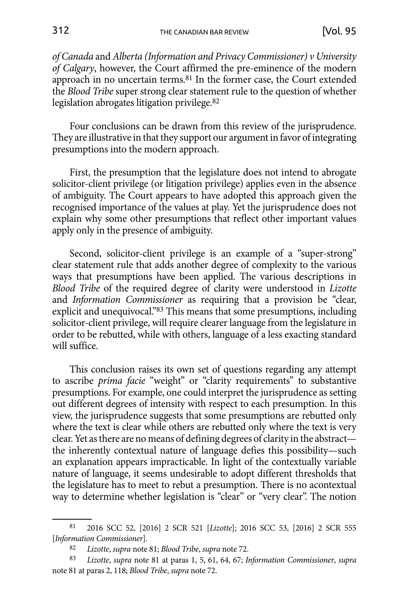*of Canada* and *Alberta (Information and Privacy Commissioner) v University of Calgary*, however, the Court affirmed the pre-eminence of the modern approach in no uncertain terms.81 In the former case, the Court extended the *Blood Tribe* super strong clear statement rule to the question of whether legislation abrogates litigation privilege.82

Four conclusions can be drawn from this review of the jurisprudence. They are illustrative in that they support our argument in favor of integrating presumptions into the modern approach.

First, the presumption that the legislature does not intend to abrogate solicitor-client privilege (or litigation privilege) applies even in the absence of ambiguity. The Court appears to have adopted this approach given the recognised importance of the values at play. Yet the jurisprudence does not explain why some other presumptions that reflect other important values apply only in the presence of ambiguity.

Second, solicitor-client privilege is an example of a "super-strong" clear statement rule that adds another degree of complexity to the various ways that presumptions have been applied. The various descriptions in *Blood Tribe* of the required degree of clarity were understood in *Lizotte* and *Information Commissioner* as requiring that a provision be "clear, explicit and unequivocal."83 This means that some presumptions, including solicitor-client privilege, will require clearer language from the legislature in order to be rebutted, while with others, language of a less exacting standard will suffice.

This conclusion raises its own set of questions regarding any attempt to ascribe *prima facie* "weight" or "clarity requirements" to substantive presumptions. For example, one could interpret the jurisprudence as setting out different degrees of intensity with respect to each presumption. In this view, the jurisprudence suggests that some presumptions are rebutted only where the text is clear while others are rebutted only where the text is very clear. Yet as there are no means of defining degrees of clarity in the abstract the inherently contextual nature of language defies this possibility—such an explanation appears impracticable. In light of the contextually variable nature of language, it seems undesirable to adopt different thresholds that the legislature has to meet to rebut a presumption. There is no acontextual way to determine whether legislation is "clear" or "very clear". The notion

<sup>81</sup> 2016 SCC 52, [2016] 2 SCR 521 [*Lizotte*]; 2016 SCC 53, [2016] 2 SCR 555 [*Information Commissioner*].

<sup>82</sup> *Lizotte*, *supra* note 81; *Blood Tribe*, *supra* note 72.

<sup>83</sup> *Lizotte*, *supra* note 81 at paras 1, 5, 61, 64, 67; *Information Commissioner*, *supra*  note 81 at paras 2, 118; *Blood Tribe*, *supra* note 72.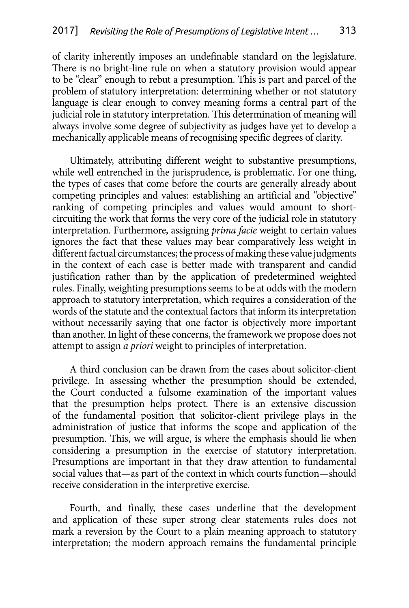of clarity inherently imposes an undefinable standard on the legislature. There is no bright-line rule on when a statutory provision would appear to be "clear" enough to rebut a presumption. This is part and parcel of the problem of statutory interpretation: determining whether or not statutory language is clear enough to convey meaning forms a central part of the judicial role in statutory interpretation. This determination of meaning will always involve some degree of subjectivity as judges have yet to develop a mechanically applicable means of recognising specific degrees of clarity.

Ultimately, attributing different weight to substantive presumptions, while well entrenched in the jurisprudence, is problematic. For one thing, the types of cases that come before the courts are generally already about competing principles and values: establishing an artificial and "objective" ranking of competing principles and values would amount to shortcircuiting the work that forms the very core of the judicial role in statutory interpretation. Furthermore, assigning *prima facie* weight to certain values ignores the fact that these values may bear comparatively less weight in different factual circumstances; the process of making these value judgments in the context of each case is better made with transparent and candid justification rather than by the application of predetermined weighted rules. Finally, weighting presumptions seems to be at odds with the modern approach to statutory interpretation, which requires a consideration of the words of the statute and the contextual factors that inform its interpretation without necessarily saying that one factor is objectively more important than another. In light of these concerns, the framework we propose does not attempt to assign *a priori* weight to principles of interpretation.

A third conclusion can be drawn from the cases about solicitor-client privilege. In assessing whether the presumption should be extended, the Court conducted a fulsome examination of the important values that the presumption helps protect. There is an extensive discussion of the fundamental position that solicitor-client privilege plays in the administration of justice that informs the scope and application of the presumption. This, we will argue, is where the emphasis should lie when considering a presumption in the exercise of statutory interpretation. Presumptions are important in that they draw attention to fundamental social values that—as part of the context in which courts function—should receive consideration in the interpretive exercise.

Fourth, and finally, these cases underline that the development and application of these super strong clear statements rules does not mark a reversion by the Court to a plain meaning approach to statutory interpretation; the modern approach remains the fundamental principle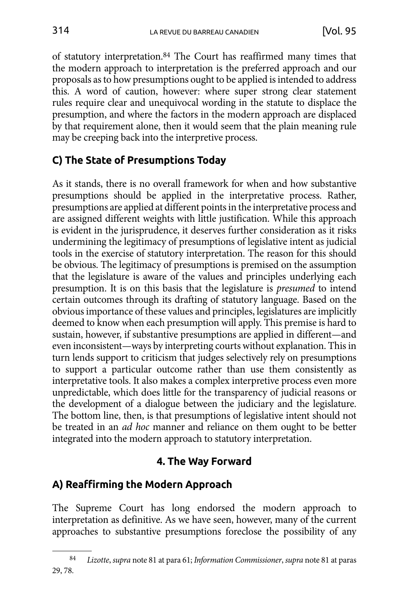<span id="page-17-0"></span>of statutory interpretation.84 The Court has reaffirmed many times that the modern approach to interpretation is the preferred approach and our proposals as to how presumptions ought to be applied is intended to address this. A word of caution, however: where super strong clear statement rules require clear and unequivocal wording in the statute to displace the presumption, and where the factors in the modern approach are displaced by that requirement alone, then it would seem that the plain meaning rule may be creeping back into the interpretive process.

# **C) The State of Presumptions Today**

As it stands, there is no overall framework for when and how substantive presumptions should be applied in the interpretative process. Rather, presumptions are applied at different points in the interpretative process and are assigned different weights with little justification. While this approach is evident in the jurisprudence, it deserves further consideration as it risks undermining the legitimacy of presumptions of legislative intent as judicial tools in the exercise of statutory interpretation. The reason for this should be obvious. The legitimacy of presumptions is premised on the assumption that the legislature is aware of the values and principles underlying each presumption. It is on this basis that the legislature is *presumed* to intend certain outcomes through its drafting of statutory language. Based on the obvious importance of these values and principles, legislatures are implicitly deemed to know when each presumption will apply. This premise is hard to sustain, however, if substantive presumptions are applied in different—and even inconsistent—ways by interpreting courts without explanation. This in turn lends support to criticism that judges selectively rely on presumptions to support a particular outcome rather than use them consistently as interpretative tools. It also makes a complex interpretive process even more unpredictable, which does little for the transparency of judicial reasons or the development of a dialogue between the judiciary and the legislature. The bottom line, then, is that presumptions of legislative intent should not be treated in an *ad hoc* manner and reliance on them ought to be better integrated into the modern approach to statutory interpretation.

# **4. The Way Forward**

# **A) Reaffirming the Modern Approach**

The Supreme Court has long endorsed the modern approach to interpretation as definitive. As we have seen, however, many of the current approaches to substantive presumptions foreclose the possibility of any

<sup>84</sup> *Lizotte*, *supra* note 81 at para 61; *Information Commissioner*, *supra* note 81 at paras 29, 78.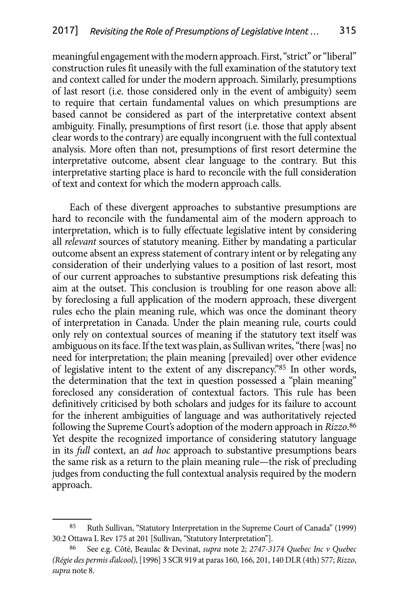meaningful engagement with the modern approach. First, "strict" or "liberal" construction rules fit uneasily with the full examination of the statutory text and context called for under the modern approach. Similarly, presumptions of last resort (i.e. those considered only in the event of ambiguity) seem to require that certain fundamental values on which presumptions are based cannot be considered as part of the interpretative context absent ambiguity. Finally, presumptions of first resort (i.e. those that apply absent clear words to the contrary) are equally incongruent with the full contextual analysis. More often than not, presumptions of first resort determine the interpretative outcome, absent clear language to the contrary. But this interpretative starting place is hard to reconcile with the full consideration of text and context for which the modern approach calls.

Each of these divergent approaches to substantive presumptions are hard to reconcile with the fundamental aim of the modern approach to interpretation, which is to fully effectuate legislative intent by considering all *relevant* sources of statutory meaning. Either by mandating a particular outcome absent an express statement of contrary intent or by relegating any consideration of their underlying values to a position of last resort, most of our current approaches to substantive presumptions risk defeating this aim at the outset. This conclusion is troubling for one reason above all: by foreclosing a full application of the modern approach, these divergent rules echo the plain meaning rule, which was once the dominant theory of interpretation in Canada. Under the plain meaning rule, courts could only rely on contextual sources of meaning if the statutory text itself was ambiguous on its face. If the text was plain, as Sullivan writes, "there [was] no need for interpretation; the plain meaning [prevailed] over other evidence of legislative intent to the extent of any discrepancy."85 In other words, the determination that the text in question possessed a "plain meaning" foreclosed any consideration of contextual factors. This rule has been definitively criticised by both scholars and judges for its failure to account for the inherent ambiguities of language and was authoritatively rejected following the Supreme Court's adoption of the modern approach in *Rizzo*. 86 Yet despite the recognized importance of considering statutory language in its *full* context, an *ad hoc* approach to substantive presumptions bears the same risk as a return to the plain meaning rule—the risk of precluding judges from conducting the full contextual analysis required by the modern approach.

<sup>85</sup> Ruth Sullivan, "Statutory Interpretation in the Supreme Court of Canada" (1999) 30:2 Ottawa L Rev 175 at 201 [Sullivan, "Statutory Interpretation"].

<sup>86</sup> See e.g. Côté, Beaulac & Devinat, *supra* note 2; *2747-3174 Quebec Inc v Quebec (Régie des permis d'alcool)*, [1996] 3 SCR 919 at paras 160, 166, 201, 140 DLR (4th) 577; *Rizzo*, *supra* note 8.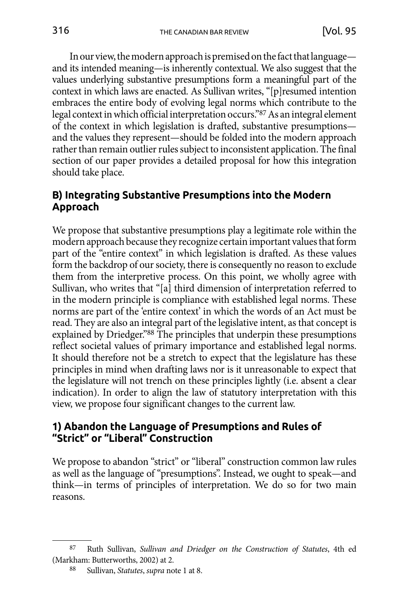<span id="page-19-0"></span>In our view, the modern approach is premised on the fact that language and its intended meaning—is inherently contextual. We also suggest that the values underlying substantive presumptions form a meaningful part of the context in which laws are enacted. As Sullivan writes, "[p]resumed intention embraces the entire body of evolving legal norms which contribute to the legal context in which official interpretation occurs."87 As an integral element of the context in which legislation is drafted, substantive presumptions and the values they represent—should be folded into the modern approach rather than remain outlier rules subject to inconsistent application. The final section of our paper provides a detailed proposal for how this integration should take place.

### **B) Integrating Substantive Presumptions into the Modern Approach**

We propose that substantive presumptions play a legitimate role within the modern approach because they recognize certain important values that form part of the "entire context" in which legislation is drafted. As these values form the backdrop of our society, there is consequently no reason to exclude them from the interpretive process. On this point, we wholly agree with Sullivan, who writes that "[a] third dimension of interpretation referred to in the modern principle is compliance with established legal norms. These norms are part of the 'entire context' in which the words of an Act must be read. They are also an integral part of the legislative intent, as that concept is explained by Driedger."88 The principles that underpin these presumptions reflect societal values of primary importance and established legal norms. It should therefore not be a stretch to expect that the legislature has these principles in mind when drafting laws nor is it unreasonable to expect that the legislature will not trench on these principles lightly (i.e. absent a clear indication). In order to align the law of statutory interpretation with this view, we propose four significant changes to the current law.

#### **1) Abandon the Language of Presumptions and Rules of "Strict" or "Liberal" Construction**

We propose to abandon "strict" or "liberal" construction common law rules as well as the language of "presumptions". Instead, we ought to speak—and think—in terms of principles of interpretation. We do so for two main reasons.

<sup>87</sup> Ruth Sullivan, *Sullivan and Driedger on the Construction of Statutes*, 4th ed (Markham: Butterworths, 2002) at 2.

<sup>88</sup> Sullivan, *Statutes*, *supra* note 1 at 8.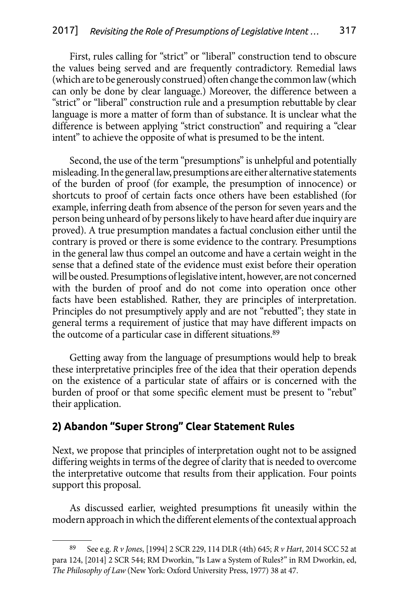<span id="page-20-0"></span>First, rules calling for "strict" or "liberal" construction tend to obscure the values being served and are frequently contradictory. Remedial laws (which are to be generously construed) often change the common law (which can only be done by clear language.) Moreover, the difference between a "strict" or "liberal" construction rule and a presumption rebuttable by clear language is more a matter of form than of substance. It is unclear what the difference is between applying "strict construction" and requiring a "clear intent" to achieve the opposite of what is presumed to be the intent.

Second, the use of the term "presumptions" is unhelpful and potentially misleading. In the general law, presumptions are either alternative statements of the burden of proof (for example, the presumption of innocence) or shortcuts to proof of certain facts once others have been established (for example, inferring death from absence of the person for seven years and the person being unheard of by persons likely to have heard after due inquiry are proved). A true presumption mandates a factual conclusion either until the contrary is proved or there is some evidence to the contrary. Presumptions in the general law thus compel an outcome and have a certain weight in the sense that a defined state of the evidence must exist before their operation will be ousted. Presumptions of legislative intent, however, are not concerned with the burden of proof and do not come into operation once other facts have been established. Rather, they are principles of interpretation. Principles do not presumptively apply and are not "rebutted"; they state in general terms a requirement of justice that may have different impacts on the outcome of a particular case in different situations.89

Getting away from the language of presumptions would help to break these interpretative principles free of the idea that their operation depends on the existence of a particular state of affairs or is concerned with the burden of proof or that some specific element must be present to "rebut" their application.

## **2) Abandon "Super Strong" Clear Statement Rules**

Next, we propose that principles of interpretation ought not to be assigned differing weights in terms of the degree of clarity that is needed to overcome the interpretative outcome that results from their application. Four points support this proposal.

As discussed earlier, weighted presumptions fit uneasily within the modern approach in which the different elements of the contextual approach

<sup>89</sup> See e.g. *R v Jones*, [1994] 2 SCR 229, 114 DLR (4th) 645; *R v Hart*, 2014 SCC 52 at para 124, [2014] 2 SCR 544; RM Dworkin, "Is Law a System of Rules?" in RM Dworkin, ed, *The Philosophy of Law* (New York: Oxford University Press, 1977) 38 at 47.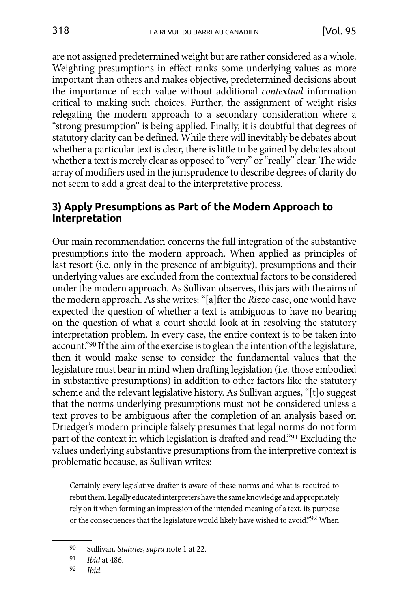<span id="page-21-0"></span>are not assigned predetermined weight but are rather considered as a whole. Weighting presumptions in effect ranks some underlying values as more important than others and makes objective, predetermined decisions about the importance of each value without additional *contextual* information critical to making such choices. Further, the assignment of weight risks relegating the modern approach to a secondary consideration where a "strong presumption" is being applied. Finally, it is doubtful that degrees of statutory clarity can be defined. While there will inevitably be debates about whether a particular text is clear, there is little to be gained by debates about whether a text is merely clear as opposed to "very" or "really" clear. The wide array of modifiers used in the jurisprudence to describe degrees of clarity do not seem to add a great deal to the interpretative process.

#### **3) Apply Presumptions as Part of the Modern Approach to Interpretation**

Our main recommendation concerns the full integration of the substantive presumptions into the modern approach. When applied as principles of last resort (i.e. only in the presence of ambiguity), presumptions and their underlying values are excluded from the contextual factors to be considered under the modern approach. As Sullivan observes, this jars with the aims of the modern approach. As she writes: "[a]fter the *Rizzo* case, one would have expected the question of whether a text is ambiguous to have no bearing on the question of what a court should look at in resolving the statutory interpretation problem. In every case, the entire context is to be taken into account."90 If the aim of the exercise is to glean the intention of the legislature, then it would make sense to consider the fundamental values that the legislature must bear in mind when drafting legislation (i.e. those embodied in substantive presumptions) in addition to other factors like the statutory scheme and the relevant legislative history. As Sullivan argues, "[t]o suggest that the norms underlying presumptions must not be considered unless a text proves to be ambiguous after the completion of an analysis based on Driedger's modern principle falsely presumes that legal norms do not form part of the context in which legislation is drafted and read."91 Excluding the values underlying substantive presumptions from the interpretive context is problematic because, as Sullivan writes:

Certainly every legislative drafter is aware of these norms and what is required to rebut them. Legally educated interpreters have the same knowledge and appropriately rely on it when forming an impression of the intended meaning of a text, its purpose or the consequences that the legislature would likely have wished to avoid."92 When

<sup>90</sup> Sullivan, *Statutes*, *supra* note 1 at 22.

<sup>91</sup> *Ibid* at 486.

<sup>92</sup> *Ibid*.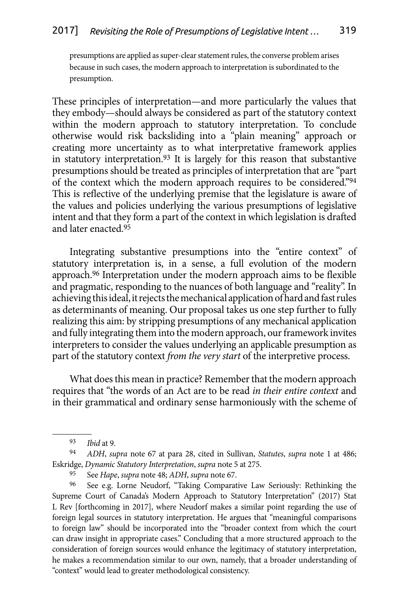presumptions are applied as super-clear statement rules, the converse problem arises because in such cases, the modern approach to interpretation is subordinated to the presumption.

These principles of interpretation—and more particularly the values that they embody—should always be considered as part of the statutory context within the modern approach to statutory interpretation. To conclude otherwise would risk backsliding into a "plain meaning" approach or creating more uncertainty as to what interpretative framework applies in statutory interpretation.93 It is largely for this reason that substantive presumptions should be treated as principles of interpretation that are "part of the context which the modern approach requires to be considered."94 This is reflective of the underlying premise that the legislature is aware of the values and policies underlying the various presumptions of legislative intent and that they form a part of the context in which legislation is drafted and later enacted.95

Integrating substantive presumptions into the "entire context" of statutory interpretation is, in a sense, a full evolution of the modern approach.96 Interpretation under the modern approach aims to be flexible and pragmatic, responding to the nuances of both language and "reality". In achieving this ideal, it rejects the mechanical application of hard and fast rules as determinants of meaning. Our proposal takes us one step further to fully realizing this aim: by stripping presumptions of any mechanical application and fully integrating them into the modern approach, our framework invites interpreters to consider the values underlying an applicable presumption as part of the statutory context *from the very start* of the interpretive process.

What does this mean in practice? Remember that the modern approach requires that "the words of an Act are to be read *in their entire context* and in their grammatical and ordinary sense harmoniously with the scheme of

<sup>93</sup> *Ibid* at 9.

<sup>94</sup> *ADH*, *supra* note 67 at para 28, cited in Sullivan, *Statutes*, *supra* note 1 at 486; Eskridge, *Dynamic Statutory Interpretation*, *supra* note 5 at 275.

<sup>95</sup> See *Hape*, *supra* note 48; *ADH*, *supra* note 67.

<sup>96</sup> See e.g. Lorne Neudorf, "Taking Comparative Law Seriously: Rethinking the Supreme Court of Canada's Modern Approach to Statutory Interpretation" (2017) Stat L Rev [forthcoming in 2017], where Neudorf makes a similar point regarding the use of foreign legal sources in statutory interpretation. He argues that "meaningful comparisons to foreign law" should be incorporated into the "broader context from which the court can draw insight in appropriate cases." Concluding that a more structured approach to the consideration of foreign sources would enhance the legitimacy of statutory interpretation, he makes a recommendation similar to our own, namely, that a broader understanding of "context" would lead to greater methodological consistency.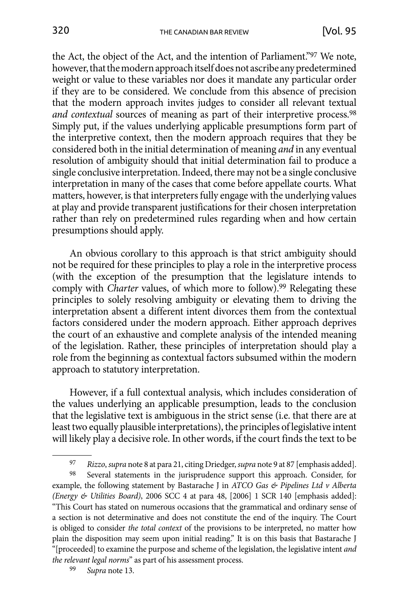the Act, the object of the Act, and the intention of Parliament."97 We note, however, that the modern approach itself does not ascribe any predetermined weight or value to these variables nor does it mandate any particular order if they are to be considered. We conclude from this absence of precision that the modern approach invites judges to consider all relevant textual and contextual sources of meaning as part of their interpretive process.<sup>98</sup> Simply put, if the values underlying applicable presumptions form part of the interpretive context, then the modern approach requires that they be considered both in the initial determination of meaning *and* in any eventual resolution of ambiguity should that initial determination fail to produce a single conclusive interpretation. Indeed, there may not be a single conclusive interpretation in many of the cases that come before appellate courts. What matters, however, is that interpreters fully engage with the underlying values at play and provide transparent justifications for their chosen interpretation rather than rely on predetermined rules regarding when and how certain presumptions should apply.

An obvious corollary to this approach is that strict ambiguity should not be required for these principles to play a role in the interpretive process (with the exception of the presumption that the legislature intends to comply with *Charter* values, of which more to follow).<sup>99</sup> Relegating these principles to solely resolving ambiguity or elevating them to driving the interpretation absent a different intent divorces them from the contextual factors considered under the modern approach. Either approach deprives the court of an exhaustive and complete analysis of the intended meaning of the legislation. Rather, these principles of interpretation should play a role from the beginning as contextual factors subsumed within the modern approach to statutory interpretation.

However, if a full contextual analysis, which includes consideration of the values underlying an applicable presumption, leads to the conclusion that the legislative text is ambiguous in the strict sense (i.e. that there are at least two equally plausible interpretations), the principles of legislative intent will likely play a decisive role. In other words, if the court finds the text to be

<sup>97</sup> *Rizzo*, *supra* note 8 at para 21, citing Driedger, *supra* note 9 at 87 [emphasis added].

<sup>98</sup> Several statements in the jurisprudence support this approach. Consider, for example, the following statement by Bastarache J in *ATCO Gas & Pipelines Ltd v Alberta (Energy & Utilities Board)*, 2006 SCC 4 at para 48, [2006] 1 SCR 140 [emphasis added]: "This Court has stated on numerous occasions that the grammatical and ordinary sense of a section is not determinative and does not constitute the end of the inquiry. The Court is obliged to consider *the total context* of the provisions to be interpreted, no matter how plain the disposition may seem upon initial reading." It is on this basis that Bastarache J "[proceeded] to examine the purpose and scheme of the legislation, the legislative intent *and the relevant legal norms*" as part of his assessment process.

<sup>99</sup> *Supra* note 13.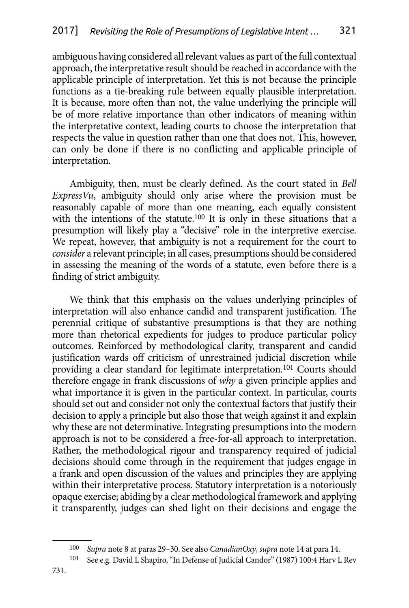ambiguous having considered all relevant values as part of the full contextual approach, the interpretative result should be reached in accordance with the applicable principle of interpretation. Yet this is not because the principle functions as a tie-breaking rule between equally plausible interpretation. It is because, more often than not, the value underlying the principle will be of more relative importance than other indicators of meaning within the interpretative context, leading courts to choose the interpretation that respects the value in question rather than one that does not. This, however, can only be done if there is no conflicting and applicable principle of interpretation.

Ambiguity, then, must be clearly defined. As the court stated in *Bell ExpressVu*, ambiguity should only arise where the provision must be reasonably capable of more than one meaning, each equally consistent with the intentions of the statute.<sup>100</sup> It is only in these situations that a presumption will likely play a "decisive" role in the interpretive exercise. We repeat, however, that ambiguity is not a requirement for the court to *consider* a relevant principle; in all cases, presumptions should be considered in assessing the meaning of the words of a statute, even before there is a finding of strict ambiguity.

We think that this emphasis on the values underlying principles of interpretation will also enhance candid and transparent justification. The perennial critique of substantive presumptions is that they are nothing more than rhetorical expedients for judges to produce particular policy outcomes. Reinforced by methodological clarity, transparent and candid justification wards off criticism of unrestrained judicial discretion while providing a clear standard for legitimate interpretation.<sup>101</sup> Courts should therefore engage in frank discussions of *why* a given principle applies and what importance it is given in the particular context. In particular, courts should set out and consider not only the contextual factors that justify their decision to apply a principle but also those that weigh against it and explain why these are not determinative. Integrating presumptions into the modern approach is not to be considered a free-for-all approach to interpretation. Rather, the methodological rigour and transparency required of judicial decisions should come through in the requirement that judges engage in a frank and open discussion of the values and principles they are applying within their interpretative process. Statutory interpretation is a notoriously opaque exercise; abiding by a clear methodological framework and applying it transparently, judges can shed light on their decisions and engage the

<sup>100</sup> *Supra* note 8 at paras 29–30. See also *CanadianOxy*, *supra* note 14 at para 14.

<sup>101</sup> See e.g. David L Shapiro, "In Defense of Judicial Candor" (1987) 100:4 Harv L Rev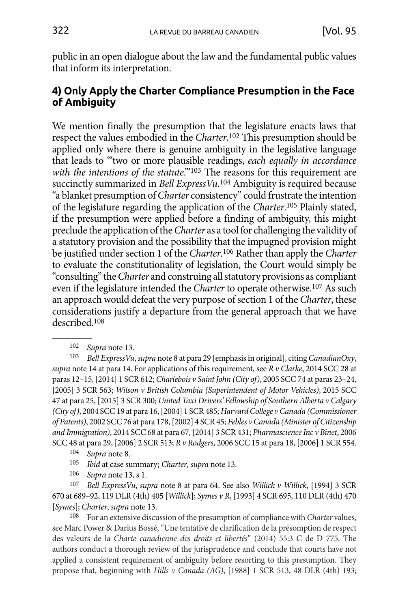<span id="page-25-0"></span>public in an open dialogue about the law and the fundamental public values that inform its interpretation.

## **4) Only Apply the Charter Compliance Presumption in the Face of Ambiguity**

We mention finally the presumption that the legislature enacts laws that respect the values embodied in the *Charter*. 102 This presumption should be applied only where there is genuine ambiguity in the legislative language that leads to "'two or more plausible readings, *each equally in accordance*  with the intentions of the statute."<sup>103</sup> The reasons for this requirement are succinctly summarized in *Bell ExpressVu*. 104 Ambiguity is required because "a blanket presumption of *Charter* consistency" could frustrate the intention of the legislature regarding the application of the *Charter*. 105 Plainly stated, if the presumption were applied before a finding of ambiguity, this might preclude the application of the *Charter* as a tool for challenging the validity of a statutory provision and the possibility that the impugned provision might be justified under section 1 of the *Charter*. 106 Rather than apply the *Charter*  to evaluate the constitutionality of legislation, the Court would simply be "consulting" the *Charter* and construing all statutory provisions as compliant even if the legislature intended the *Charter* to operate otherwise.107 As such an approach would defeat the very purpose of section 1 of the *Charter*, these considerations justify a departure from the general approach that we have described.108

103 *Bell ExpressVu*, *supra* note 8 at para 29 [emphasis in original], citing *CanadianOxy*, *supra* note 14 at para 14. For applications of this requirement, see *R v Clarke*, 2014 SCC 28 at paras 12–15, [2014] 1 SCR 612; *Charlebois v Saint John (City of)*, 2005 SCC 74 at paras 23–24, [2005] 3 SCR 563; *Wilson v British Columbia (Superintendent of Motor Vehicles)*, 2015 SCC 47 at para 25, [2015] 3 SCR 300; *United Taxi Drivers' Fellowship of Southern Alberta v Calgary (City of)*, 2004 SCC 19 at para 16, [2004] 1 SCR 485; *Harvard College v Canada (Commissioner of Patents)*, 2002 SCC 76 at para 178, [2002] 4 SCR 45; *Febles v Canada (Minister of Citizenship and Immigration)*, 2014 SCC 68 at para 67, [2014] 3 SCR 431; *Pharmascience Inc v Binet*, 2006 SCC 48 at para 29, [2006] 2 SCR 513; *R v Rodgers*, 2006 SCC 15 at para 18, [2006] 1 SCR 554.

- 104 *Supra* note 8.
- *Ibid* at case summary; *Charter*, *supra* note 13.
- 106 *Supra* note 13, s 1.

107 *Bell ExpressVu*, *supra* note 8 at para 64. See also *Willick v Willick*, [1994] 3 SCR 670 at 689–92, 119 DLR (4th) 405 [*Willick*]; *Symes v R*, [1993] 4 SCR 695, 110 DLR (4th) 470 [*Symes*]; *Charter*, *supra* note 13.

108 For an extensive discussion of the presumption of compliance with *Charter* values, see Marc Power & Darius Bossé, "Une tentative de clarification de la présomption de respect des valeurs de la *Charte canadienne des droits et libertés*" (2014) 55:3 C de D 775. The authors conduct a thorough review of the jurisprudence and conclude that courts have not applied a consistent requirement of ambiguity before resorting to this presumption. They propose that, beginning with *Hills v Canada (AG)*, [1988] 1 SCR 513, 48 DLR (4th) 193;

<sup>102</sup> *Supra* note 13.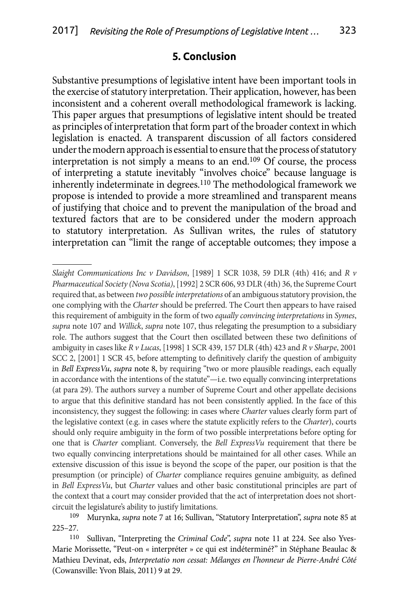#### **5. Conclusion**

<span id="page-26-0"></span>Substantive presumptions of legislative intent have been important tools in the exercise of statutory interpretation. Their application, however, has been inconsistent and a coherent overall methodological framework is lacking. This paper argues that presumptions of legislative intent should be treated as principles of interpretation that form part of the broader context in which legislation is enacted. A transparent discussion of all factors considered under the modern approach is essential to ensure that the process of statutory interpretation is not simply a means to an end.109 Of course, the process of interpreting a statute inevitably "involves choice" because language is inherently indeterminate in degrees.110 The methodological framework we propose is intended to provide a more streamlined and transparent means of justifying that choice and to prevent the manipulation of the broad and textured factors that are to be considered under the modern approach to statutory interpretation. As Sullivan writes, the rules of statutory interpretation can "limit the range of acceptable outcomes; they impose a

*Slaight Communications Inc v Davidson*, [1989] 1 SCR 1038, 59 DLR (4th) 416; and *R v Pharmaceutical Society (Nova Scotia)*,[1992] 2 SCR 606, 93 DLR (4th) 36, the Supreme Court required that, as between *two possible interpretations* of an ambiguous statutory provision, the one complying with the *Charter* should be preferred. The Court then appears to have raised this requirement of ambiguity in the form of two *equally convincing interpretations* in *Symes*, *supra* note 107 and *Willick*, *supra* note 107, thus relegating the presumption to a subsidiary role. The authors suggest that the Court then oscillated between these two definitions of ambiguity in cases like *R v Lucas*, [1998] 1 SCR 439, 157 DLR (4th) 423 and *R v Sharpe*, 2001 SCC 2, [2001] 1 SCR 45, before attempting to definitively clarify the question of ambiguity in *Bell ExpressVu*, *supra* note 8, by requiring "two or more plausible readings, each equally in accordance with the intentions of the statute"-i.e. two equally convincing interpretations (at para 29). The authors survey a number of Supreme Court and other appellate decisions to argue that this definitive standard has not been consistently applied. In the face of this inconsistency, they suggest the following: in cases where *Charter* values clearly form part of the legislative context (e.g. in cases where the statute explicitly refers to the *Charter*), courts should only require ambiguity in the form of two possible interpretations before opting for one that is *Charter*  compliant. Conversely, the *Bell ExpressVu* requirement that there be two equally convincing interpretations should be maintained for all other cases. While an extensive discussion of this issue is beyond the scope of the paper, our position is that the presumption (or principle) of *Charter* compliance requires genuine ambiguity, as defined in *Bell ExpressVu*, but *Charter* values and other basic constitutional principles are part of the context that a court may consider provided that the act of interpretation does not shortcircuit the legislature's ability to justify limitations.

<sup>109</sup> Murynka, *supra* note 7 at 16; Sullivan, "Statutory Interpretation", *supra* note 85 at 225–27.

<sup>110</sup> Sullivan, "Interpreting the *Criminal Code*", *supra* note 11 at 224. See also Yves-Marie Morissette, "Peut-on « interpréter » ce qui est indéterminé?" in Stéphane Beaulac & Mathieu Devinat, eds, *Interpretatio non cessat: Mélanges en l'honneur de Pierre-André Côté*  (Cowansville: Yvon Blais, 2011) 9 at 29.